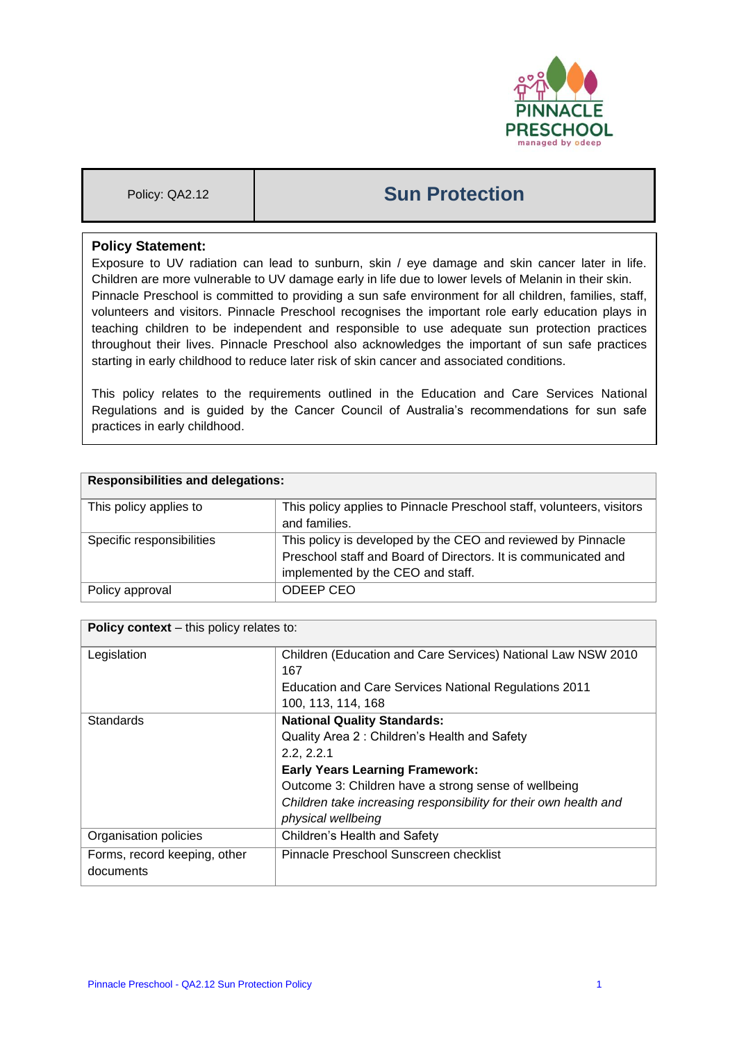

# Policy: QA2.12 **Sun Protection**

## **Policy Statement:**

Exposure to UV radiation can lead to sunburn, skin / eye damage and skin cancer later in life. Children are more vulnerable to UV damage early in life due to lower levels of Melanin in their skin. Pinnacle Preschool is committed to providing a sun safe environment for all children, families, staff, volunteers and visitors. Pinnacle Preschool recognises the important role early education plays in teaching children to be independent and responsible to use adequate sun protection practices throughout their lives. Pinnacle Preschool also acknowledges the important of sun safe practices starting in early childhood to reduce later risk of skin cancer and associated conditions.

This policy relates to the requirements outlined in the Education and Care Services National Regulations and is guided by the Cancer Council of Australia's recommendations for sun safe practices in early childhood.

| <b>Responsibilities and delegations:</b> |                                                                                                                                                                     |  |
|------------------------------------------|---------------------------------------------------------------------------------------------------------------------------------------------------------------------|--|
| This policy applies to                   | This policy applies to Pinnacle Preschool staff, volunteers, visitors<br>and families.                                                                              |  |
| Specific responsibilities                | This policy is developed by the CEO and reviewed by Pinnacle<br>Preschool staff and Board of Directors. It is communicated and<br>implemented by the CEO and staff. |  |
| Policy approval                          | ODEEP CEO                                                                                                                                                           |  |

| <b>Policy context</b> – this policy relates to: |                                                                  |  |  |
|-------------------------------------------------|------------------------------------------------------------------|--|--|
| Legislation                                     | Children (Education and Care Services) National Law NSW 2010     |  |  |
|                                                 | 167                                                              |  |  |
|                                                 | <b>Education and Care Services National Regulations 2011</b>     |  |  |
|                                                 | 100, 113, 114, 168                                               |  |  |
| <b>Standards</b>                                | <b>National Quality Standards:</b>                               |  |  |
|                                                 | Quality Area 2: Children's Health and Safety                     |  |  |
|                                                 | 2.2.2.2.1                                                        |  |  |
|                                                 | <b>Early Years Learning Framework:</b>                           |  |  |
|                                                 | Outcome 3: Children have a strong sense of wellbeing             |  |  |
|                                                 | Children take increasing responsibility for their own health and |  |  |
|                                                 | physical wellbeing                                               |  |  |
| Organisation policies                           | Children's Health and Safety                                     |  |  |
| Forms, record keeping, other                    | Pinnacle Preschool Sunscreen checklist                           |  |  |
| documents                                       |                                                                  |  |  |
|                                                 |                                                                  |  |  |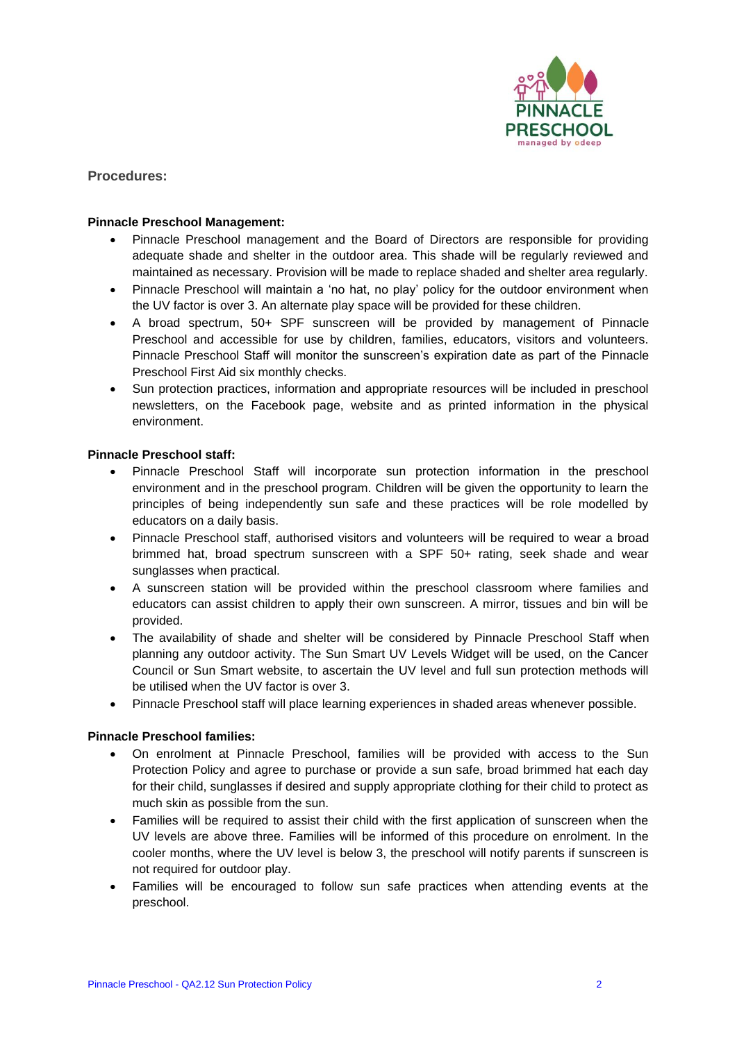

**Procedures:**

#### **Pinnacle Preschool Management:**

- Pinnacle Preschool management and the Board of Directors are responsible for providing adequate shade and shelter in the outdoor area. This shade will be regularly reviewed and maintained as necessary. Provision will be made to replace shaded and shelter area regularly.
- Pinnacle Preschool will maintain a 'no hat, no play' policy for the outdoor environment when the UV factor is over 3. An alternate play space will be provided for these children.
- A broad spectrum, 50+ SPF sunscreen will be provided by management of Pinnacle Preschool and accessible for use by children, families, educators, visitors and volunteers. Pinnacle Preschool Staff will monitor the sunscreen's expiration date as part of the Pinnacle Preschool First Aid six monthly checks.
- Sun protection practices, information and appropriate resources will be included in preschool newsletters, on the Facebook page, website and as printed information in the physical environment.

#### **Pinnacle Preschool staff:**

- Pinnacle Preschool Staff will incorporate sun protection information in the preschool environment and in the preschool program. Children will be given the opportunity to learn the principles of being independently sun safe and these practices will be role modelled by educators on a daily basis.
- Pinnacle Preschool staff, authorised visitors and volunteers will be required to wear a broad brimmed hat, broad spectrum sunscreen with a SPF 50+ rating, seek shade and wear sunglasses when practical.
- A sunscreen station will be provided within the preschool classroom where families and educators can assist children to apply their own sunscreen. A mirror, tissues and bin will be provided.
- The availability of shade and shelter will be considered by Pinnacle Preschool Staff when planning any outdoor activity. The Sun Smart UV Levels Widget will be used, on the Cancer Council or Sun Smart website, to ascertain the UV level and full sun protection methods will be utilised when the UV factor is over 3.
- Pinnacle Preschool staff will place learning experiences in shaded areas whenever possible.

#### **Pinnacle Preschool families:**

- On enrolment at Pinnacle Preschool, families will be provided with access to the Sun Protection Policy and agree to purchase or provide a sun safe, broad brimmed hat each day for their child, sunglasses if desired and supply appropriate clothing for their child to protect as much skin as possible from the sun.
- Families will be required to assist their child with the first application of sunscreen when the UV levels are above three. Families will be informed of this procedure on enrolment. In the cooler months, where the UV level is below 3, the preschool will notify parents if sunscreen is not required for outdoor play.
- Families will be encouraged to follow sun safe practices when attending events at the preschool.